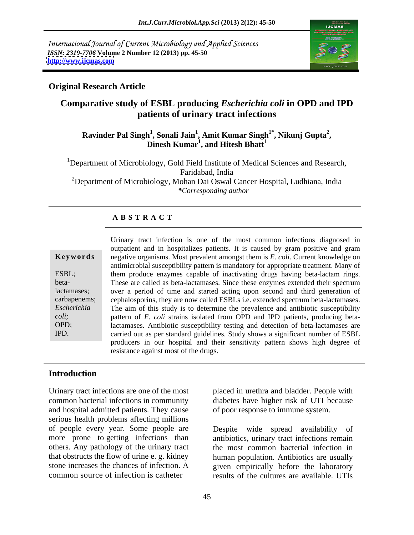International Journal of Current Microbiology and Applied Sciences *ISSN: 2319-7706* **Volume 2 Number 12 (2013) pp. 45-50 <http://www.ijcmas.com>**



### **Original Research Article**

# **Comparative study of ESBL producing** *Escherichia coli* **in OPD and IPD patients of urinary tract infections**

#### **Ravinder Pal Singh<sup>1</sup> , Sonali Jain<sup>1</sup> , Amit Kumar Singh1\* , Dinesh Kumar1 , Nikunj Gupta<sup>2</sup> , and Hitesh Bhatt<sup>1</sup>**

<sup>1</sup>Department of Microbiology, Gold Field Institute of Medical Sciences and Research, Faridabad, India <sup>2</sup>Department of Microbiology, Mohan Dai Oswal Cancer Hospital, Ludhiana, India *\*Corresponding author* 

### **A B S T R A C T**

beta-

**Ke ywo rds** negative organisms. Most prevalent amongst them is *E. coli*. Current knowledge on ESBL; them produce enzymes capable of inactivating drugs having beta-lactam rings. lactamases; over a period of time and started acting upon second and third generation of carbapenems; cephalosporins, they are now called ESBLs i.e. extended spectrum beta-lactamases. *Escherichia*  The aim of this study is to determine the prevalence and antibiotic susceptibility *coli;* pattern of *E. coli* strains isolated from OPD and IPD patients, producing beta-OPD; lactamases. Antibiotic susceptibility testing and detection of beta-lactamases are IPD. carried out as per standard guidelines. Study shows a significant number of ESBL Urinary tract infection is one of the most common infections diagnosed in outpatient and in hospitalizes patients. It is caused by gram positive and gram antimicrobial susceptibility pattern is mandatory for appropriate treatment. Many of These are called as beta-lactamases. Since these enzymes extended their spectrum producers in our hospital and their sensitivity pattern shows high degree of resistance against most of the drugs.

# **Introduction**

Urinary tract infections are one of the most placed in urethra and bladder. People with common bacterial infections in community diabetes have higher risk of UTI because and hospital admitted patients. They cause serious health problems affecting millions of people every year. Some people are more prone to getting infections than antibiotics, urinary tract infections remain others. Any pathology of the urinary tract the most common bacterial infection in that obstructs the flow of urine e. g. kidney human population. Antibiotics are usually stone increases the chances of infection. A given empirically before the laboratory

of poor response to immune system.

common source of infection is catheter results of the cultures are available. UTIs Despite wide spread availability of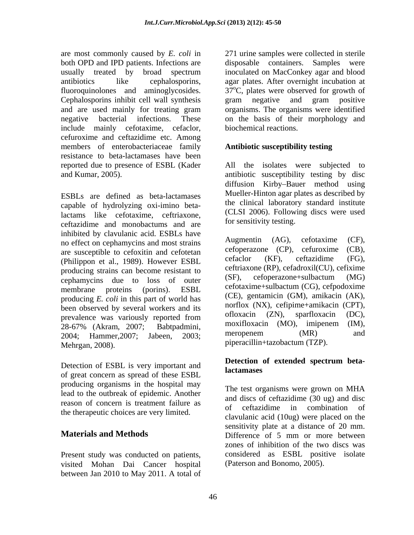are most commonly caused by *E. coli* in both OPD and IPD patients. Infections are Cephalosporins inhibit cell wall synthesis and are used mainly for treating gram include mainly cefotaxime, cefaclor, cefuroxime and ceftazidime etc. Among members of enterobacteriaceae family resistance to beta-lactamases have been

ESBLs are defined as beta-lactamases capable of hydrolyzing oxi-imino betalactams like cefotaxime, ceftriaxone, ceftazidime and monobactums and are inhibited by clavulanic acid. ESBLs have<br>no effect on caphamycins and most strains Augmentin (AG), cefotaxime (CF), no effect on cephamycins and most strains<br>are suggestible to experime and experiments of the cepherazone (CP), cefuroxime (CB), are susceptible to cefoxitin and cefotetan  $\text{ceroperazone}$  (CP), ceruroxime (CB),<br>  $\text{Cchiilinear set al. 1080}$   $\text{Harrance FSDI}$  cefaclor (KF), ceftazidime (FG). (Philippon et al., 1989). However ESBL producing strains can become resistant to<br>
enhanyoing due to loss of outer<br>
(SF), cefoperazone+sulbactum (MG) cephamycins due to loss of outer membrane proteins (porins). ESBL celouaxime+suioacium (CG), celpouoxime producing *E. coli* in this part of world has been observed by several workers and its<br>measured from the official capacity of  $(XN)$ , enterprise  $(YN)$ , sparition (DC), providence we veriously reported from the official capacity of  $(ZN)$ , sparitional capacity control f prevalence was variously reported from 28-67% (Akram, 2007; Babtpadmini, moxilloxacin (NO), imipenem (IN), 2004; Hammer, 2007; Jabeen, 2003; meropenem (MR) and Mehrgan, 2008).

of great concern as spread of these ESBL producing organisms in the hospital may lead to the outbreak of epidemic. Another reason of concern is treatment failure as and discs of centazidime in combination of the therapeutic choices are very limited.

Present study was conducted on patients, visited Mohan Dai Cancer hospital between Jan 2010 to May 2011. A total of

usually treated by broad spectrum antibiotics like cephalosporins, agar plates. After overnight incubation at fluoroquinolones and aminoglycosides.  $37^{\circ}$ C, plates were observed for growth of negative bacterial infections. These on the basis of their morphology and 271 urine samples were collected in sterile disposable containers. Samples were inoculated on MacConkey agar and blood gram negative and gram positive organisms. The organisms were identified biochemical reactions.

# **Antibiotic susceptibility testing**

reported due to presence of ESBL (Kader All the isolates were subjected to and Kumar, 2005). antibiotic susceptibility testing by disc diffusion Kirby-Bauer method using Mueller-Hinton agar plates as described by the clinical laboratory standard institute (CLSI 2006). Following discs were used for sensitivity testing.

> Augmentin (AG), cefotaxime (CF),  $cefoperazone$   $(CP)$ ,  $cefuroxime$ cefaclor (KF), ceftazidime (FG), ceftriaxone (RP), cefadroxil(CU), cefixime (SF), cefoperazone+sulbactum (MG) cefotaxime+sulbactum (CG), cefpodoxime (CE), gentamicin (GM), amikacin (AK), norflox (NX), cefipime+amikacin (CPT), ofloxacin (ZN), sparfloxacin (DC), moxifloxacin (MO), imipenem (IM), meropenem (MR) and piperacillin+tazobactum (TZP).

#### Detection of ESBL is very important and<br>lactamases **Detection of extended spectrum betalactamases**

**Materials and Methods** Difference of 5 mm or more between The test organisms were grown on MHA and discs of ceftazidime (30 ug) and disc of ceftazidime in combination of clavulanic acid (10ug) were placed on the sensitivity plate at a distance of 20 mm. Difference of 5 mm or more between zones of inhibition of the two discs was considered as ESBL positive isolate (Paterson and Bonomo, 2005).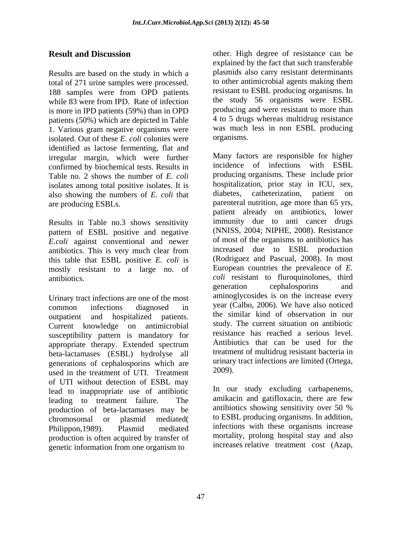Results are based on the study in which a plasmids also carry resistant determinants<br>total of 271 urine samples were processed to other antimicrobial agents making them total of 271 urine samples were processed. 188 samples were from OPD patients while 83 were from IPD. Rate of infection the study 56 organisms were ESBL is more in IPD patients (59%) than in OPD patients (50%) which are depicted in Table 1. Various gram negative organisms were was much<br>isolated Out of these  $F$  coli colonies were organisms. isolated. Out of these *E. coli* colonies were identified as lactose fermenting, flat and irregular margin, which were further confirmed by biochemical tests. Results in Table no. 2 shows the number of *E. coli* isolates among total positive isolates. It is bospitalization, prior stay in ICU, sex, also showing the numbers of  $F$  coli that diabetes, catheterization, patient on also showing the numbers of *E. coli* that

Results in Table no.3 shows sensitivity pattern of ESBL positive and negative *E.coli* against conventional and newer this table that ESBL positive *E. coli* is mostly resistant to a large no. of

Urinary tract infections are one of the most Current knowledge on antimicrobial susceptibility pattern is mandatory for appropriate therapy. Extended spectrum beta-lactamases (ESBL) hydrolyse all generations of cephalosporins which are<br>used in the treatment of UTI Treatment 2009). used in the treatment of UTI. Treatment of UTI without detection of ESBL may lead to inappropriate use of antibiotic leading to treatment failure. The amikacin and gatifloxical there are few<br>production of beta-lactamases may be antibiotics showing sensitivity over 50 % production of beta-lactamases may be chromosomal or plasmid mediated( Philippon, 1989). Plasmid mediated infections with these organisms increase production is often acquired by transfer of genetic information from one organism to

**Result and Discussion** other. High degree of resistance can be explained by the fact that such transferable plasmids also carry resistant determinants to other antimicrobial agents making them resistant to ESBL producing organisms. In producing and were resistant to more than 4 to 5 drugs whereas multidrug resistance was much less in non ESBL producing organisms.

are producing ESBLs. parenteral nutrition, age more than 65 yrs, antibiotics. This is very much clear from increased due to ESBL production antibiotics. *coli* resistant to fluroquinolones, third common infections diagnosed in year (Calbo, 2006). We have also noticed outpatient and hospitalized patients. the similar kind of observation in our Many factors are responsible for higher incidence of infections with ESBL producing organisms. These include prior hospitalization, prior stay in ICU, sex, diabetes, catheterization, patient patient already on antibiotics, lower immunity due to anti cancer drugs (NNISS, 2004; NIPHE, 2008). Resistance of most of the organisms to antibiotics has increased due to ESBL production (Rodriguez and Pascual, 2008). In most European countries the prevalence of *E.*  generation cephalosporins and aminoglycosides is on the increase every year (Calbo, 2006). We have also noticed study. The current situation on antibiotic resistance has reached a serious level. Antibiotics that can be used for the treatment of multidrug resistant bacteria in urinary tract infections are limited (Ortega, 2009).

> In our study excluding carbapenems, amikacin and gatifloxacin, there are few antibiotics showing sensitivity over 50 % to ESBL producing organisms. In addition, mortality, prolong hospital stay and also increases relative treatment cost (Azap,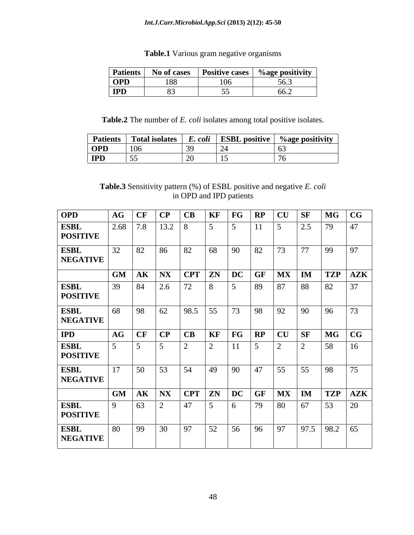#### *Int.J.Curr.Microbiol.App.Sci* **(2013) 2(12): 45-50**

Table.1 Various gram negative organisms

| Patients   | <b>No of case.</b> | <b>Positive cases</b> | .<br>%age positivity |
|------------|--------------------|-----------------------|----------------------|
| <b>OPD</b> | 188                | 106<br>⊥ ∪ ∪          | - - -<br>v           |
| <b>IPD</b> |                    |                       | ----                 |

**Table.2** The number of *E. coli* isolates among total positive isolates.

| <b>Patients</b> | Total isolates  | __<br>E. coll | <b>ESBL</b> positive | $\%$ age positivity |
|-----------------|-----------------|---------------|----------------------|---------------------|
| <b>OPD</b>      | 10 <sub>c</sub> |               |                      |                     |
| <b>IPD</b>      | -5.             |               |                      |                     |

### **Table.3** Sensitivity pattern (%) of ESBL positive and negative *E. coli* in OPD and IPD patients

| <b>OPD</b>                     |          |  |  |                            |  | AG CF CP CB KF FG RP CU SF MG CG                                                                                                                                                |  |
|--------------------------------|----------|--|--|----------------------------|--|---------------------------------------------------------------------------------------------------------------------------------------------------------------------------------|--|
| <b>ESBL</b><br><b>POSITIVE</b> |          |  |  |                            |  |                                                                                                                                                                                 |  |
| <b>ESBL</b><br><b>NEGATIVE</b> |          |  |  |                            |  |                                                                                                                                                                                 |  |
|                                |          |  |  |                            |  | GM AK NX CPT ZN DC GF MX IM TZP AZK                                                                                                                                             |  |
| <b>ESBL</b><br><b>POSITIVE</b> |          |  |  |                            |  | 39 84 2.6 72 8 5 89 87 88 82 37                                                                                                                                                 |  |
| <b>ESBL</b><br><b>NEGATIVE</b> |          |  |  |                            |  | 68   98   62   98.5   55   73   98   92   90   96   73                                                                                                                          |  |
| <b>IPD</b>                     |          |  |  |                            |  | $\overline{AB}$ $\overline{CF}$ $\overline{CP}$ $\overline{CB}$ $\overline{KF}$ $\overline{FG}$ $\overline{RP}$ $\overline{CU}$ $\overline{SF}$ $\overline{MG}$ $\overline{CG}$ |  |
| <b>ESBL</b><br><b>POSITIVE</b> |          |  |  |                            |  | $\overline{16}$                                                                                                                                                                 |  |
| <b>ESBL</b><br><b>NEGATIVE</b> |          |  |  | 50 53 54 49 90 47 55 55 98 |  | 75                                                                                                                                                                              |  |
|                                |          |  |  |                            |  | GM AK NX CPT ZN DC GF MX IM TZP AZK                                                                                                                                             |  |
| <b>ESBL</b><br><b>POSITIVE</b> |          |  |  |                            |  |                                                                                                                                                                                 |  |
| <b>ESBL</b><br><b>NEGATIVE</b> | $\Omega$ |  |  |                            |  |                                                                                                                                                                                 |  |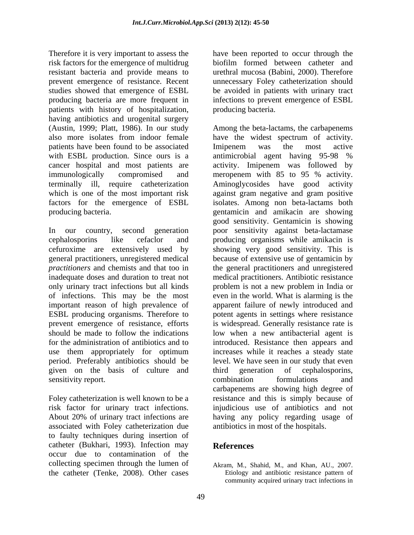Therefore it is very important to assess the have been reported to occur through the risk factors for the emergence of multidrug biofilm formed between catheter and resistant bacteria and provide means to prevent emergence of resistance. Recent unnecessary Foley catheterization should studies showed that emergence of ESBL be avoided in patients with urinary tract producing bacteria are more frequent in infections to prevent emergence of ESBL patients with history of hospitalization, having antibiotics and urogenital surgery patients have been found to be associated Imipenem was the most active with ESBL production. Since ours is a antimicrobial agent having 95-98 % cancer hospital and most patients are immunologically compromised and meropenem with 85 to 95 % activity.

In our country, second generation poor sensitivity against beta-lactamase cephalosporins like cefaclor and producing organisms while amikacin is cefuroxime are extensively used by showing very good sensitivity. This is general practitioners, unregistered medical because of extensive use of gentamicin by *practitioners* and chemists and that too in the general practitioners and unregistered inadequate doses and duration to treat not medical practitioners. Antibiotic resistance only urinary tract infections but all kinds problem is not a new problem in India or of infections. This may be the most even in the world. What is alarming is the important reason of high prevalence of apparent failure of newly introduced and ESBL producing organisms. Therefore to potent agents in settings where resistance prevent emergence of resistance, efforts is widespread. Generally resistance rate is should be made to follow the indications low when a new antibacterial agent is for the administration of antibiotics and to introduced. Resistance then appears and use them appropriately for optimum period. Preferably antibiotics should be given on the basis of culture and third generation of cephalosporins, sensitivity report. The combination combination combination formulations and

associated with Foley catheterization due to faulty techniques during insertion of catheter (Bukhari, 1993). Infection may occur due to contamination of the collecting specimen through the lumen of Akram, M., Shahid, M., and Khan, AU., 2007. the catheter (Tenke, 2008). Other cases

biofilm formed between catheter and urethral mucosa (Babini, 2000). Therefore producing bacteria.

(Austin, 1999; Platt, 1986). In our study Among the beta-lactams, the carbapenems also more isolates from indoor female have the widest spectrum of activity. terminally ill, require catheterization Aminoglycosides have good activity which is one of the most important risk against gram negative and gram positive factors for the emergence of ESBL isolates. Among non beta-lactams both producing bacteria. gentamicin and amikacin are showing Foley catheterization is well known to be a resistance and this is simply because of risk factor for urinary tract infections. injudicious use of antibiotics and not About 20% of urinary tract infections are having any policy regarding usage of Imipenem was the most active antimicrobial agent having 95-98 % activity. Imipenem was followed by meropenem with 85 to 95 % activity. good sensitivity. Gentamicin is showing increases while it reaches a steady state level. We have seen in our study that even third generation of cephalosporins, combination formulations and carbapenems are showing high degree of antibiotics in most of the hospitals.

# **References**

Etiology and antibiotic resistance pattern of community acquired urinary tract infections in